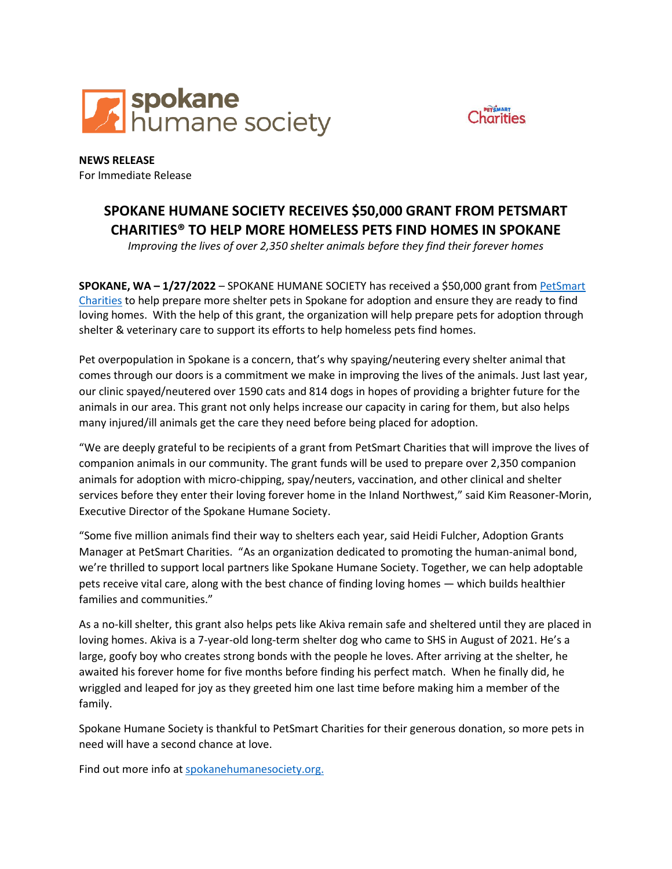



**NEWS RELEASE** For Immediate Release

## **SPOKANE HUMANE SOCIETY RECEIVES \$50,000 GRANT FROM PETSMART CHARITIES® TO HELP MORE HOMELESS PETS FIND HOMES IN SPOKANE**

*Improving the lives of over 2,350 shelter animals before they find their forever homes*

**SPOKANE, WA – 1/27/2022** – SPOKANE HUMANE SOCIETY has received a \$50,000 grant from [PetSmart](http://www.petsmartcharities.org/)  [Charities](http://www.petsmartcharities.org/) to help prepare more shelter pets in Spokane for adoption and ensure they are ready to find loving homes. With the help of this grant, the organization will help prepare pets for adoption through shelter & veterinary care to support its efforts to help homeless pets find homes.

Pet overpopulation in Spokane is a concern, that's why spaying/neutering every shelter animal that comes through our doors is a commitment we make in improving the lives of the animals. Just last year, our clinic spayed/neutered over 1590 cats and 814 dogs in hopes of providing a brighter future for the animals in our area. This grant not only helps increase our capacity in caring for them, but also helps many injured/ill animals get the care they need before being placed for adoption.

"We are deeply grateful to be recipients of a grant from PetSmart Charities that will improve the lives of companion animals in our community. The grant funds will be used to prepare over 2,350 companion animals for adoption with micro-chipping, spay/neuters, vaccination, and other clinical and shelter services before they enter their loving forever home in the Inland Northwest," said Kim Reasoner-Morin, Executive Director of the Spokane Humane Society.

"Some five million animals find their way to shelters each year, said Heidi Fulcher, Adoption Grants Manager at PetSmart Charities. "As an organization dedicated to promoting the human-animal bond, we're thrilled to support local partners like Spokane Humane Society. Together, we can help adoptable pets receive vital care, along with the best chance of finding loving homes — which builds healthier families and communities."

As a no-kill shelter, this grant also helps pets like Akiva remain safe and sheltered until they are placed in loving homes. Akiva is a 7-year-old long-term shelter dog who came to SHS in August of 2021. He's a large, goofy boy who creates strong bonds with the people he loves. After arriving at the shelter, he awaited his forever home for five months before finding his perfect match. When he finally did, he wriggled and leaped for joy as they greeted him one last time before making him a member of the family.

Spokane Humane Society is thankful to PetSmart Charities for their generous donation, so more pets in need will have a second chance at love.

Find out more info at [spokanehumanesociety.org.](https://spokanehumanesociety.org/)